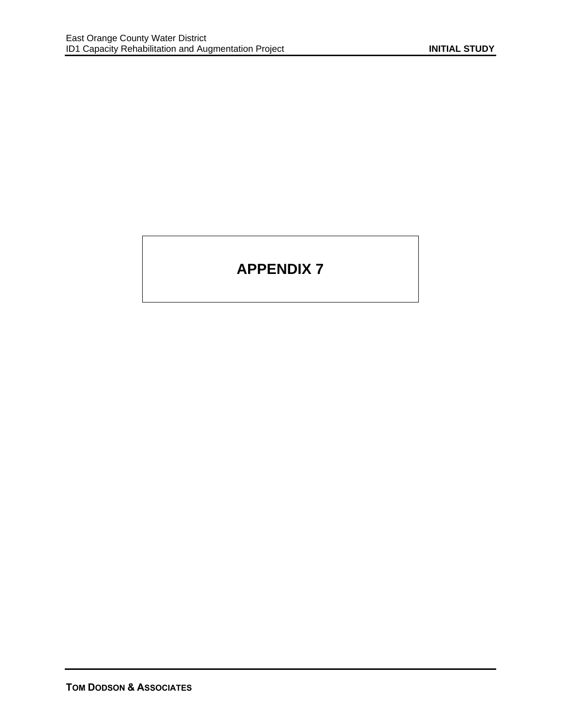# **APPENDIX 7**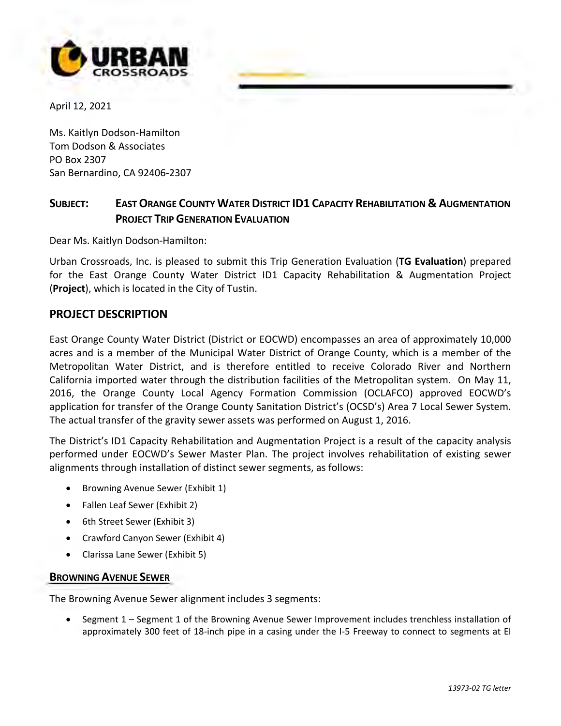

April 12, 2021

Ms. Kaitlyn Dodson-Hamilton Tom Dodson & Associates PO Box 2307 San Bernardino, CA 92406-2307

### **SUBJECT: EAST ORANGE COUNTY WATER DISTRICT ID1 CAPACITY REHABILITATION & AUGMENTATION PROJECT TRIP GENERATION EVALUATION**

urban.JU'OOdJ..com

Dear Ms. Kaitlyn Dodson-Hamilton:

Urban Crossroads, Inc. is pleased to submit this Trip Generation Evaluation (**TG Evaluation**) prepared for the East Orange County Water District ID1 Capacity Rehabilitation & Augmentation Project (**Project**), which is located in the City of Tustin.

#### **PROJECT DESCRIPTION**

East Orange County Water District (District or EOCWD) encompasses an area of approximately 10,000 acres and is a member of the Municipal Water District of Orange County, which is a member of the Metropolitan Water District, and is therefore entitled to receive Colorado River and Northern California imported water through the distribution facilities of the Metropolitan system. On May 11, 2016, the Orange County Local Agency Formation Commission (OCLAFCO) approved EOCWD's application for transfer of the Orange County Sanitation District's (OCSD's) Area 7 Local Sewer System. The actual transfer of the gravity sewer assets was performed on August 1, 2016.

The District's ID1 Capacity Rehabilitation and Augmentation Project is a result of the capacity analysis performed under EOCWD's Sewer Master Plan. The project involves rehabilitation of existing sewer alignments through installation of distinct sewer segments, as follows:

- Browning Avenue Sewer (Exhibit 1)
- Fallen Leaf Sewer (Exhibit 2)
- 6th Street Sewer (Exhibit 3)
- Crawford Canyon Sewer (Exhibit 4)
- Clarissa Lane Sewer (Exhibit 5)

#### **BROWNING AVENUE SEWER**

The Browning Avenue Sewer alignment includes 3 segments:

• Segment 1 – Segment 1 of the Browning Avenue Sewer Improvement includes trenchless installation of approximately 300 feet of 18-inch pipe in a casing under the I-5 Freeway to connect to segments at El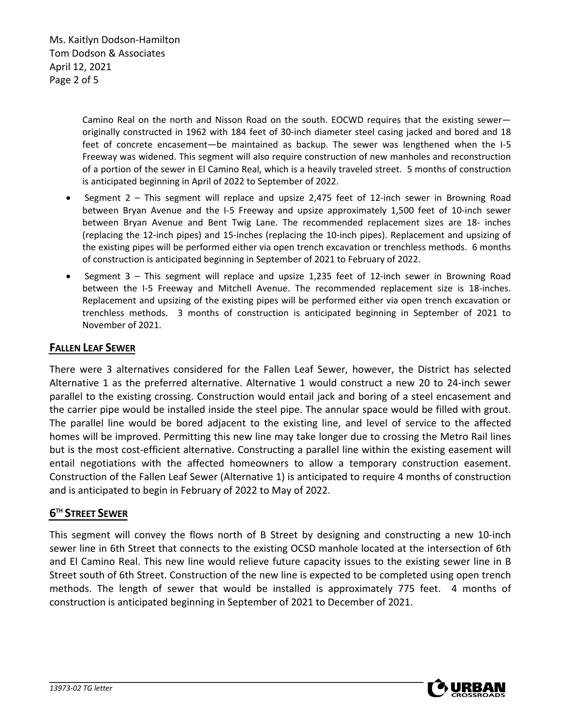Ms. Kaitlyn Dodson-Hamilton Tom Dodson & Associates April 12, 2021 Page 2 of 5

> Camino Real on the north and Nisson Road on the south. EOCWD requires that the existing sewer originally constructed in 1962 with 184 feet of 30-inch diameter steel casing jacked and bored and 18 feet of concrete encasement—be maintained as backup. The sewer was lengthened when the I-5 Freeway was widened. This segment will also require construction of new manholes and reconstruction of a portion of the sewer in El Camino Real, which is a heavily traveled street. 5 months of construction is anticipated beginning in April of 2022 to September of 2022.

- Segment 2 This segment will replace and upsize 2,475 feet of 12-inch sewer in Browning Road between Bryan Avenue and the I-5 Freeway and upsize approximately 1,500 feet of 10-inch sewer between Bryan Avenue and Bent Twig Lane. The recommended replacement sizes are 18- inches (replacing the 12-inch pipes) and 15-inches (replacing the 10-inch pipes). Replacement and upsizing of the existing pipes will be performed either via open trench excavation or trenchless methods. 6 months of construction is anticipated beginning in September of 2021 to February of 2022.
- Segment 3 This segment will replace and upsize 1,235 feet of 12-inch sewer in Browning Road between the I-5 Freeway and Mitchell Avenue. The recommended replacement size is 18-inches. Replacement and upsizing of the existing pipes will be performed either via open trench excavation or trenchless methods. 3 months of construction is anticipated beginning in September of 2021 to November of 2021.

#### **FALLEN LEAF SEWER**

There were 3 alternatives considered for the Fallen Leaf Sewer, however, the District has selected Alternative 1 as the preferred alternative. Alternative 1 would construct a new 20 to 24-inch sewer parallel to the existing crossing. Construction would entail jack and boring of a steel encasement and the carrier pipe would be installed inside the steel pipe. The annular space would be filled with grout. The parallel line would be bored adjacent to the existing line, and level of service to the affected homes will be improved. Permitting this new line may take longer due to crossing the Metro Rail lines but is the most cost-efficient alternative. Constructing a parallel line within the existing easement will entail negotiations with the affected homeowners to allow a temporary construction easement. Construction of the Fallen Leaf Sewer (Alternative 1) is anticipated to require 4 months of construction and is anticipated to begin in February of 2022 to May of 2022.

#### **6TH STREET SEWER**

This segment will convey the flows north of B Street by designing and constructing a new 10-inch sewer line in 6th Street that connects to the existing OCSD manhole located at the intersection of 6th and El Camino Real. This new line would relieve future capacity issues to the existing sewer line in B Street south of 6th Street. Construction of the new line is expected to be completed using open trench methods. The length of sewer that would be installed is approximately 775 feet. 4 months of construction is anticipated beginning in September of 2021 to December of 2021.

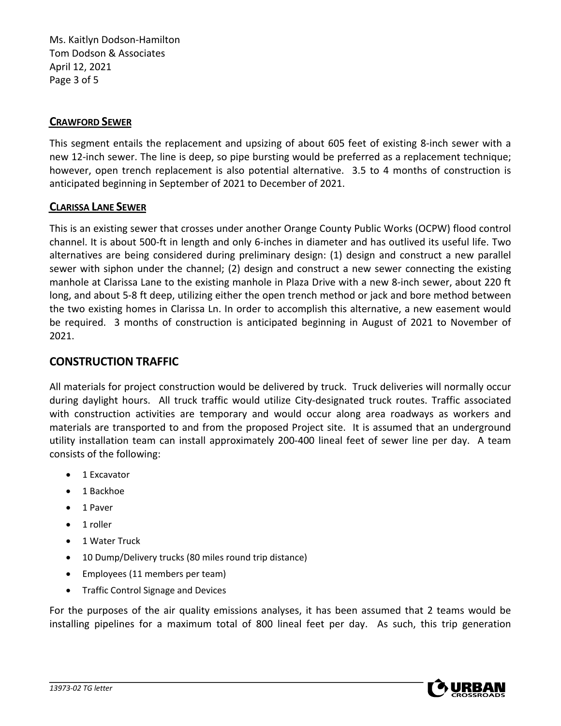Ms. Kaitlyn Dodson-Hamilton Tom Dodson & Associates April 12, 2021 Page 3 of 5

#### **CRAWFORD SEWER**

This segment entails the replacement and upsizing of about 605 feet of existing 8-inch sewer with a new 12-inch sewer. The line is deep, so pipe bursting would be preferred as a replacement technique; however, open trench replacement is also potential alternative. 3.5 to 4 months of construction is anticipated beginning in September of 2021 to December of 2021.

#### **CLARISSA LANE SEWER**

This is an existing sewer that crosses under another Orange County Public Works (OCPW) flood control channel. It is about 500-ft in length and only 6-inches in diameter and has outlived its useful life. Two alternatives are being considered during preliminary design: (1) design and construct a new parallel sewer with siphon under the channel; (2) design and construct a new sewer connecting the existing manhole at Clarissa Lane to the existing manhole in Plaza Drive with a new 8-inch sewer, about 220 ft long, and about 5-8 ft deep, utilizing either the open trench method or jack and bore method between the two existing homes in Clarissa Ln. In order to accomplish this alternative, a new easement would be required. 3 months of construction is anticipated beginning in August of 2021 to November of 2021.

#### **CONSTRUCTION TRAFFIC**

All materials for project construction would be delivered by truck. Truck deliveries will normally occur during daylight hours. All truck traffic would utilize City-designated truck routes. Traffic associated with construction activities are temporary and would occur along area roadways as workers and materials are transported to and from the proposed Project site. It is assumed that an underground utility installation team can install approximately 200-400 lineal feet of sewer line per day. A team consists of the following:

- 1 Excavator
- 1 Backhoe
- 1 Paver
- 1 roller
- 1 Water Truck
- 10 Dump/Delivery trucks (80 miles round trip distance)
- Employees (11 members per team)
- Traffic Control Signage and Devices

For the purposes of the air quality emissions analyses, it has been assumed that 2 teams would be installing pipelines for a maximum total of 800 lineal feet per day. As such, this trip generation

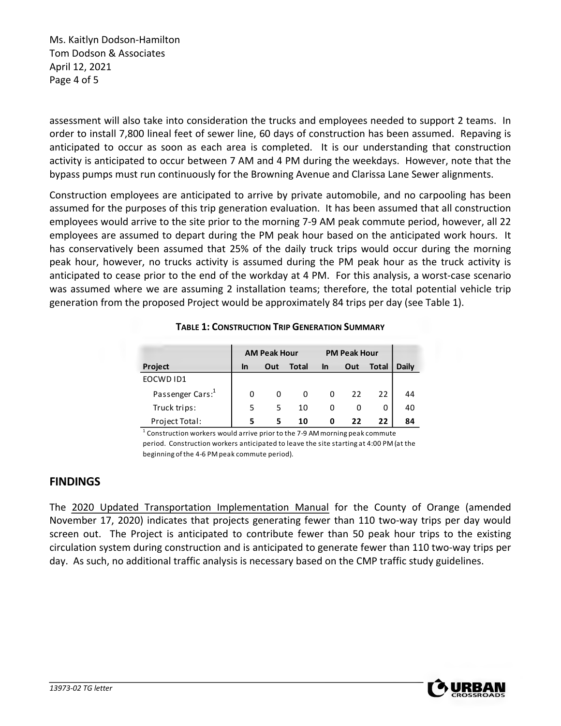Ms. Kaitlyn Dodson-Hamilton Tom Dodson & Associates April 12, 2021 Page 4 of 5

assessment will also take into consideration the trucks and employees needed to support 2 teams. In order to install 7,800 lineal feet of sewer line, 60 days of construction has been assumed. Repaving is anticipated to occur as soon as each area is completed. It is our understanding that construction activity is anticipated to occur between 7 AM and 4 PM during the weekdays. However, note that the bypass pumps must run continuously for the Browning Avenue and Clarissa Lane Sewer alignments.

Construction employees are anticipated to arrive by private automobile, and no carpooling has been assumed for the purposes of this trip generation evaluation. It has been assumed that all construction employees would arrive to the site prior to the morning 7-9 AM peak commute period, however, all 22 employees are assumed to depart during the PM peak hour based on the anticipated work hours. It has conservatively been assumed that 25% of the daily truck trips would occur during the morning peak hour, however, no trucks activity is assumed during the PM peak hour as the truck activity is anticipated to cease prior to the end of the workday at 4 PM. For this analysis, a worst-case scenario was assumed where we are assuming 2 installation teams; therefore, the total potential vehicle trip generation from the proposed Project would be approximately 84 trips per day (see Table 1).

|                              | <b>AM Peak Hour</b> |     |       | <b>PM Peak Hour</b> |     |              |              |
|------------------------------|---------------------|-----|-------|---------------------|-----|--------------|--------------|
| Project                      | In                  | Out | Total | In                  | Out | <b>Total</b> | <b>Daily</b> |
| EOCWD ID1                    |                     |     |       |                     |     |              |              |
| Passenger Cars: <sup>1</sup> |                     | 0   | U     | 0                   | 22  | 22           | 44           |
| Truck trips:                 | 5                   | 5   | 10    | 0                   |     | O            | 40           |
| Project Total:               | 5                   |     | 10    | 0                   | フフ  | 22           | 84           |

**TABLE 1: CONSTRUCTION TRIP GENERATION SUMMARY**

 $1$  Construction workers would arrive prior to the 7-9 AM morning peak commute period. Construction workers anticipated to leave the site starting at 4:00 PM (at the beginning of the 4-6 PM peak commute period).

#### **FINDINGS**

The 2020 Updated Transportation Implementation Manual for the County of Orange (amended November 17, 2020) indicates that projects generating fewer than 110 two-way trips per day would screen out. The Project is anticipated to contribute fewer than 50 peak hour trips to the existing circulation system during construction and is anticipated to generate fewer than 110 two-way trips per day. As such, no additional traffic analysis is necessary based on the CMP traffic study guidelines.

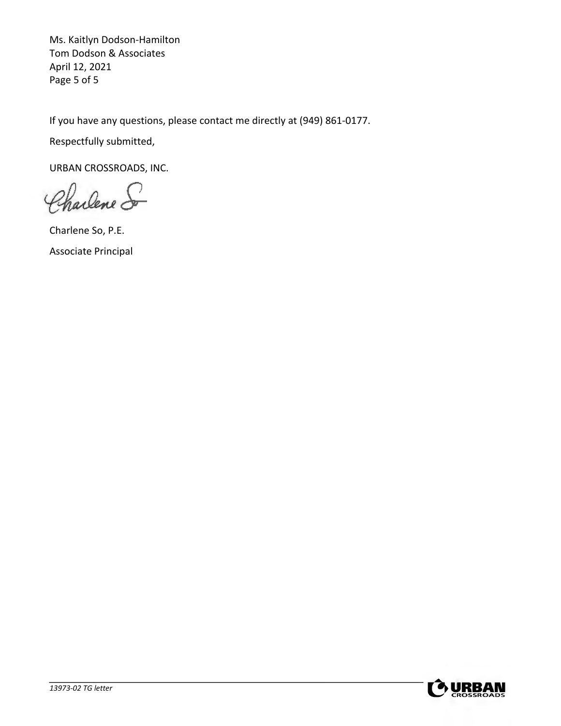Ms. Kaitlyn Dodson-Hamilton Tom Dodson & Associates April 12, 2021 Page 5 of 5

If you have any questions, please contact me directly at (949) 861-0177.

Respectfully submitted,

URBAN CROSSROADS, INC.

Charlene S

Charlene So, P.E. Associate Principal

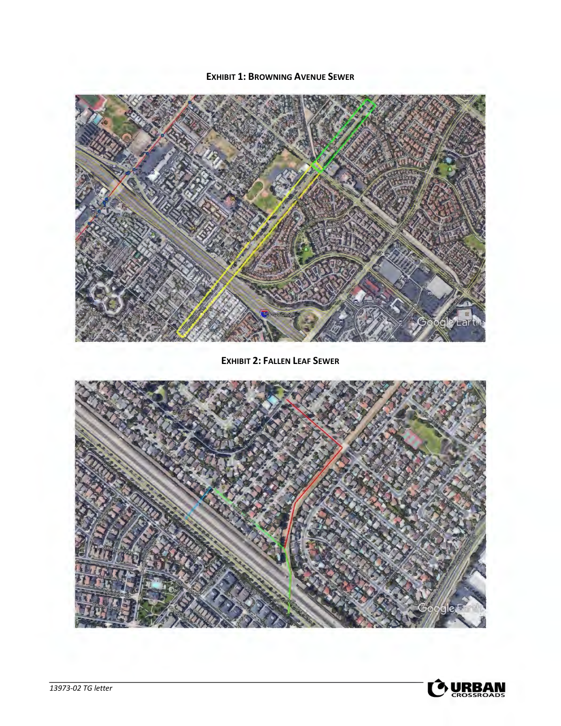#### **EXHIBIT 1: BROWNING AVENUE SEWER**



**EXHIBIT 2: FALLEN LEAF SEWER**



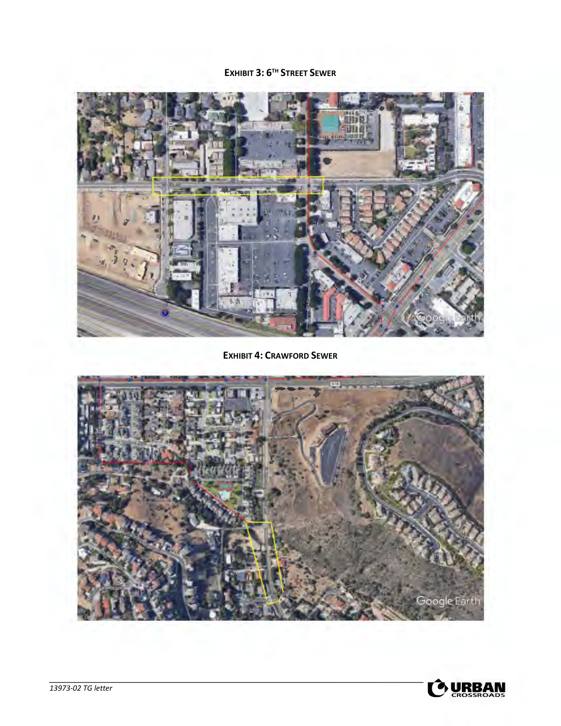## EXHIBIT 3: 6TH STREET SEWER



**EXHIBIT 4: CRAWFORD SEWER**